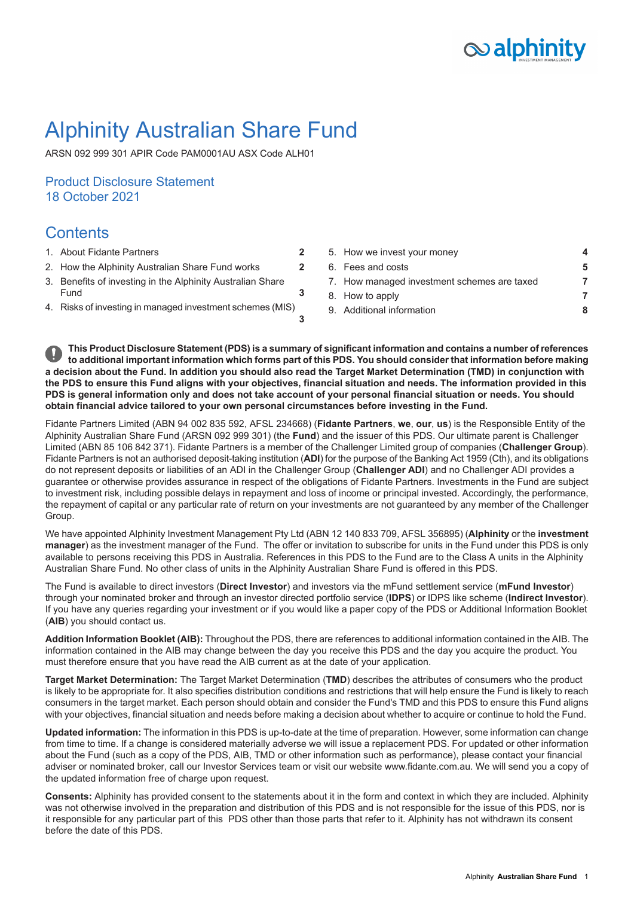

# Alphinity Australian Share Fund

ARSN 092 999 301 APIR Code PAM0001AU ASX Code ALH01

### Product Disclosure Statement 18 October 2021

# **Contents**

- 
- 
- 3. Benefits of investing in the Alphinity [Australian](#page-2-0) Share
- 
- 1. About Fidante [Partners](#page-1-0) **[2](#page-1-0)** 5. How we invest your [money](#page-3-0) **[4](#page-3-0)** 2. How the Alphinity [Australian](#page-1-1) Share Fund works **[2](#page-1-1)** 6. Fees and [costs](#page-4-0) **[5](#page-4-0)** 7. How managed [investment](#page-6-0) schemes are taxed **[7](#page-6-0)** [Fund](#page-2-0) **3** and **3** and **3** and **3** and **3** and **3** and **3** and **3** and **3** and **3** and **3** and **3** and **[7](#page-6-1)** and **7** and **7** and **7** and **7** and **7** and **7** and **7** and **7** and **7** and **7** and **7** and **7** and **7** and **7** and 4. Risks of investing in managed [investment](#page-2-1) schemes (MIS) 9. Additional [information](#page-7-0) **[8](#page-7-0)**

This Product Disclosure Statement (PDS) is a summary of significant information and contains a number of references to additional important information which forms part of this PDS. You should consider that information before making a decision about the Fund. In addition you should also read the Target Market Determination (TMD) in conjunction with the PDS to ensure this Fund aligns with your objectives, financial situation and needs. The information provided in this PDS is general information only and does not take account of your personal financial situation or needs. You should **obtain financial advice tailored to your own personal circumstances before investing in the Fund.**

**[3](#page-2-0)**

**[3](#page-2-1)**

Fidante Partners Limited (ABN 94 002 835 592, AFSL 234668) (**Fidante Partners**, **we**, **our**, **us**) is the Responsible Entity of the Alphinity Australian Share Fund (ARSN 092 999 301) (the **Fund**) and the issuer of this PDS. Our ultimate parent is Challenger Limited (ABN 85 106 842 371). Fidante Partners is a member of the Challenger Limited group of companies (**Challenger Group**). Fidante Partners is not an authorised deposit-taking institution (**ADI**) for the purpose of the Banking Act 1959 (Cth), and its obligations do not represent deposits or liabilities of an ADI in the Challenger Group (**Challenger ADI**) and no Challenger ADI provides a guarantee or otherwise provides assurance in respect of the obligations of Fidante Partners. Investments in the Fund are subject to investment risk, including possible delays in repayment and loss of income or principal invested. Accordingly, the performance, the repayment of capital or any particular rate of return on your investments are not guaranteed by any member of the Challenger Group.

We have appointed Alphinity Investment Management Pty Ltd (ABN 12 140 833 709, AFSL 356895) (**Alphinity** or the **investment manager**) as the investment manager of the Fund. The offer or invitation to subscribe for units in the Fund under this PDS is only available to persons receiving this PDS in Australia. References in this PDS to the Fund are to the Class A units in the Alphinity Australian Share Fund. No other class of units in the Alphinity Australian Share Fund is offered in this PDS.

The Fund is available to direct investors (**Direct Investor**) and investors via the mFund settlement service (**mFund Investor**) through your nominated broker and through an investor directed portfolio service (**IDPS**) or IDPS like scheme (**Indirect Investor**). If you have any queries regarding your investment or if you would like a paper copy of the PDS or Additional Information Booklet (**AIB**) you should contact us.

**Addition Information Booklet (AIB):** Throughout the PDS, there are references to additional information contained in the AIB. The information contained in the AIB may change between the day you receive this PDS and the day you acquire the product. You must therefore ensure that you have read the AIB current as at the date of your application.

**Target Market Determination:** The Target Market Determination (**TMD**) describes the attributes of consumers who the product is likely to be appropriate for. It also specifies distribution conditions and restrictions that will help ensure the Fund is likely to reach consumers in the target market. Each person should obtain and consider the Fund's TMD and this PDS to ensure this Fund aligns with your objectives, financial situation and needs before making a decision about whether to acquire or continue to hold the Fund.

**Updated information:** The information in this PDS is up-to-date at the time of preparation. However, some information can change from time to time. If a change is considered materially adverse we will issue a replacement PDS. For updated or other information about the Fund (such as a copy of the PDS, AIB, TMD or other information such as performance), please contact your financial adviser or nominated broker, call our Investor Services team or visit our website www.fidante.com.au. We will send you a copy of the updated information free of charge upon request.

**Consents:** Alphinity has provided consent to the statements about it in the form and context in which they are included. Alphinity was not otherwise involved in the preparation and distribution of this PDS and is not responsible for the issue of this PDS, nor is it responsible for any particular part of this PDS other than those parts that refer to it. Alphinity has not withdrawn its consent before the date of this PDS.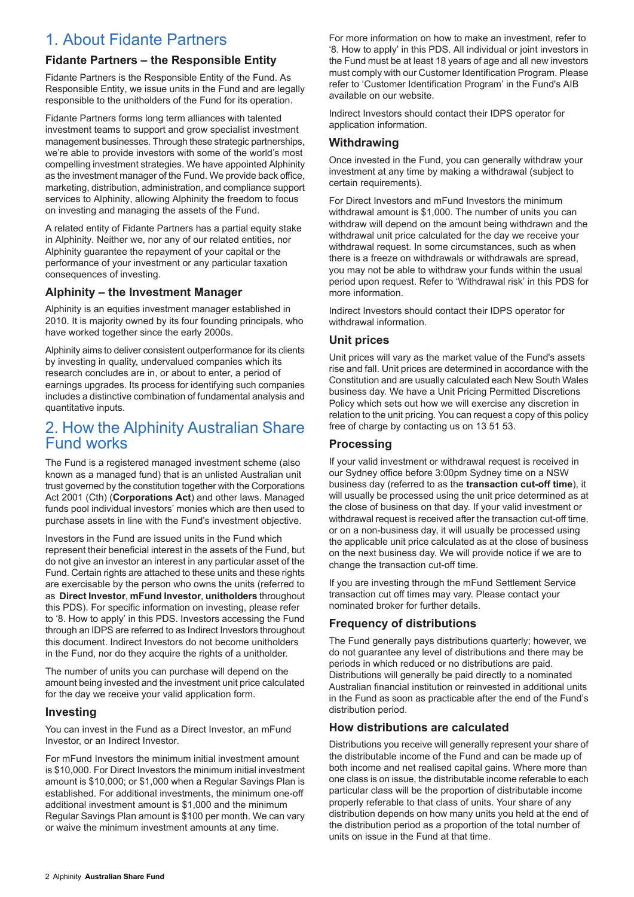# <span id="page-1-0"></span>1. About Fidante Partners

#### **Fidante Partners – the Responsible Entity**

Fidante Partners is the Responsible Entity of the Fund. As Responsible Entity, we issue units in the Fund and are legally responsible to the unitholders of the Fund for its operation.

Fidante Partners forms long term alliances with talented investment teams to support and grow specialist investment management businesses. Through these strategic partnerships, we're able to provide investors with some of the world's most compelling investment strategies. We have appointed Alphinity as the investment manager of the Fund. We provide back office, marketing, distribution, administration, and compliance support services to Alphinity, allowing Alphinity the freedom to focus on investing and managing the assets of the Fund.

A related entity of Fidante Partners has a partial equity stake in Alphinity. Neither we, nor any of our related entities, nor Alphinity guarantee the repayment of your capital or the performance of your investment or any particular taxation consequences of investing.

#### **Alphinity – the Investment Manager**

Alphinity is an equities investment manager established in 2010. It is majority owned by its four founding principals, who have worked together since the early 2000s.

<span id="page-1-1"></span>Alphinity aims to deliver consistent outperformance for its clients by investing in quality, undervalued companies which its research concludes are in, or about to enter, a period of earnings upgrades. Its process for identifying such companies includes a distinctive combination of fundamental analysis and quantitative inputs.

### 2. How the Alphinity Australian Share Fund works

The Fund is a registered managed investment scheme (also known as a managed fund) that is an unlisted Australian unit trust governed by the constitution together with the Corporations Act 2001 (Cth) (**Corporations Act**) and other laws. Managed funds pool individual investors' monies which are then used to purchase assets in line with the Fund's investment objective.

Investors in the Fund are issued units in the Fund which represent their beneficial interest in the assets of the Fund, but do not give an investor an interest in any particular asset of the Fund. Certain rights are attached to these units and these rights are exercisable by the person who owns the units (referred to as **Direct Investor**, **mFund Investor**, **unitholders** throughout this PDS). For specific information on investing, please refer to '8. How to apply' in this PDS. Investors accessing the Fund through an IDPS are referred to as Indirect Investors throughout this document. Indirect Investors do not become unitholders in the Fund, nor do they acquire the rights of a unitholder.

The number of units you can purchase will depend on the amount being invested and the investment unit price calculated for the day we receive your valid application form.

#### **Investing**

You can invest in the Fund as a Direct Investor, an mFund Investor, or an Indirect Investor.

For mFund Investors the minimum initial investment amount is \$10,000. For Direct Investors the minimum initial investment amount is \$10,000; or \$1,000 when a Regular Savings Plan is established. For additional investments, the minimum one-off additional investment amount is \$1,000 and the minimum Regular Savings Plan amount is \$100 per month. We can vary or waive the minimum investment amounts at any time.

For more information on how to make an investment, refer to '8. How to apply' in this PDS. All individual or joint investors in the Fund must be at least 18 years of age and all new investors must comply with our Customer Identification Program. Please refer to 'Customer Identification Program' in the Fund's AIB available on our website.

Indirect Investors should contact their IDPS operator for application information.

#### **Withdrawing**

Once invested in the Fund, you can generally withdraw your investment at any time by making a withdrawal (subject to certain requirements).

For Direct Investors and mFund Investors the minimum withdrawal amount is \$1,000. The number of units you can withdraw will depend on the amount being withdrawn and the withdrawal unit price calculated for the day we receive your withdrawal request. In some circumstances, such as when there is a freeze on withdrawals or withdrawals are spread, you may not be able to withdraw your funds within the usual period upon request. Refer to 'Withdrawal risk' in this PDS for more information.

Indirect Investors should contact their IDPS operator for withdrawal information.

#### **Unit prices**

Unit prices will vary as the market value of the Fund's assets rise and fall. Unit prices are determined in accordance with the Constitution and are usually calculated each New South Wales business day. We have a Unit Pricing Permitted Discretions Policy which sets out how we will exercise any discretion in relation to the unit pricing. You can request a copy of this policy free of charge by contacting us on 13 51 53.

#### **Processing**

If your valid investment or withdrawal request is received in our Sydney office before 3:00pm Sydney time on a NSW business day (referred to as the **transaction cut-off time**), it will usually be processed using the unit price determined as at the close of business on that day. If your valid investment or withdrawal request is received after the transaction cut-off time, or on a non-business day, it will usually be processed using the applicable unit price calculated as at the close of business on the next business day. We will provide notice if we are to change the transaction cut-off time.

If you are investing through the mFund Settlement Service transaction cut off times may vary. Please contact your nominated broker for further details.

#### **Frequency of distributions**

The Fund generally pays distributions quarterly; however, we do not guarantee any level of distributions and there may be periods in which reduced or no distributions are paid. Distributions will generally be paid directly to a nominated Australian financial institution or reinvested in additional units in the Fund as soon as practicable after the end of the Fund's distribution period.

#### **How distributions are calculated**

Distributions you receive will generally represent your share of the distributable income of the Fund and can be made up of both income and net realised capital gains. Where more than one class is on issue, the distributable income referable to each particular class will be the proportion of distributable income properly referable to that class of units. Your share of any distribution depends on how many units you held at the end of the distribution period as a proportion of the total number of units on issue in the Fund at that time.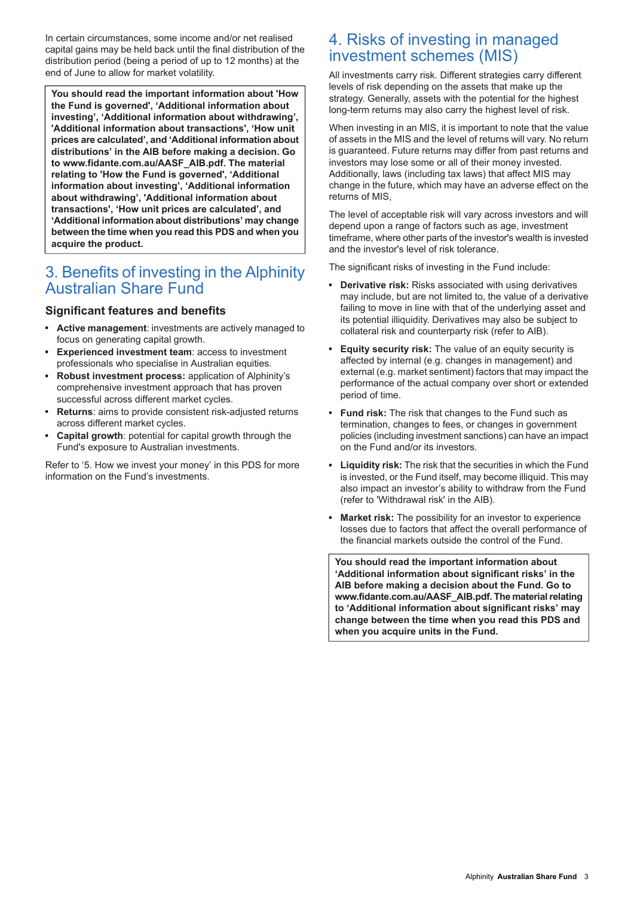In certain circumstances, some income and/or net realised capital gains may be held back until the final distribution of the distribution period (being a period of up to 12 months) at the end of June to allow for market volatility.

**You should read the important information about 'How the Fund is governed', 'Additional information about investing', 'Additional information about withdrawing', 'Additional information about transactions', 'How unit prices are calculated', and 'Additional information about distributions' in the AIB before making a decision. Go to www.fidante.com.au/AASF\_AIB.pdf. The material relating to 'How the Fund is governed', 'Additional information about investing', 'Additional information about withdrawing', 'Additional information about transactions', 'How unit prices are calculated', and 'Additional information about distributions' may change between the time when you read this PDS and when you acquire the product.**

### <span id="page-2-0"></span>3. Benefits of investing in the Alphinity Australian Share Fund

#### **Significant features and benefits**

- **Active management**: investments are actively managed to focus on generating capital growth.
- **Experienced investment team**: access to investment professionals who specialise in Australian equities.
- **Robust investment process:** application of Alphinity's comprehensive investment approach that has proven successful across different market cycles.
- **Returns**: aims to provide consistent risk-adjusted returns across different market cycles.
- **Capital growth**: potential for capital growth through the Fund's exposure to Australian investments.

Refer to '5. How we invest your money' in this PDS for more information on the Fund's investments.

### <span id="page-2-1"></span>4. Risks of investing in managed investment schemes (MIS)

All investments carry risk. Different strategies carry different levels of risk depending on the assets that make up the strategy. Generally, assets with the potential for the highest long-term returns may also carry the highest level of risk.

When investing in an MIS, it is important to note that the value of assets in the MIS and the level of returns will vary. No return is guaranteed. Future returns may differ from past returns and investors may lose some or all of their money invested. Additionally, laws (including tax laws) that affect MIS may change in the future, which may have an adverse effect on the returns of MIS,

The level of acceptable risk will vary across investors and will depend upon a range of factors such as age, investment timeframe, where other parts of the investor's wealth is invested and the investor's level of risk tolerance.

The significant risks of investing in the Fund include:

- $\bullet$ **Derivative risk:** Risks associated with using derivatives may include, but are not limited to, the value of a derivative failing to move in line with that of the underlying asset and its potential illiquidity. Derivatives may also be subject to collateral risk and counterparty risk (refer to AIB).
- **Equity security risk:** The value of an equity security is affected by internal (e.g. changes in management) and external (e.g. market sentiment) factors that may impact the performance of the actual company over short or extended period of time.
- **Fund risk:** The risk that changes to the Fund such as termination, changes to fees, or changes in government policies (including investment sanctions) can have an impact on the Fund and/or its investors.
- **Liquidity risk:** The risk that the securities in which the Fund is invested, or the Fund itself, may become illiquid. This may also impact an investor's ability to withdraw from the Fund (refer to 'Withdrawal risk' in the AIB).
- **Market risk:** The possibility for an investor to experience losses due to factors that affect the overall performance of the financial markets outside the control of the Fund.

**You should read the important information about 'Additional information about significant risks' in the AIB before making a decision about the Fund. Go to www.fidante.com.au/AASF\_AIB.pdf. The materialrelating to 'Additional information about significant risks' may change between the time when you read this PDS and when you acquire units in the Fund.**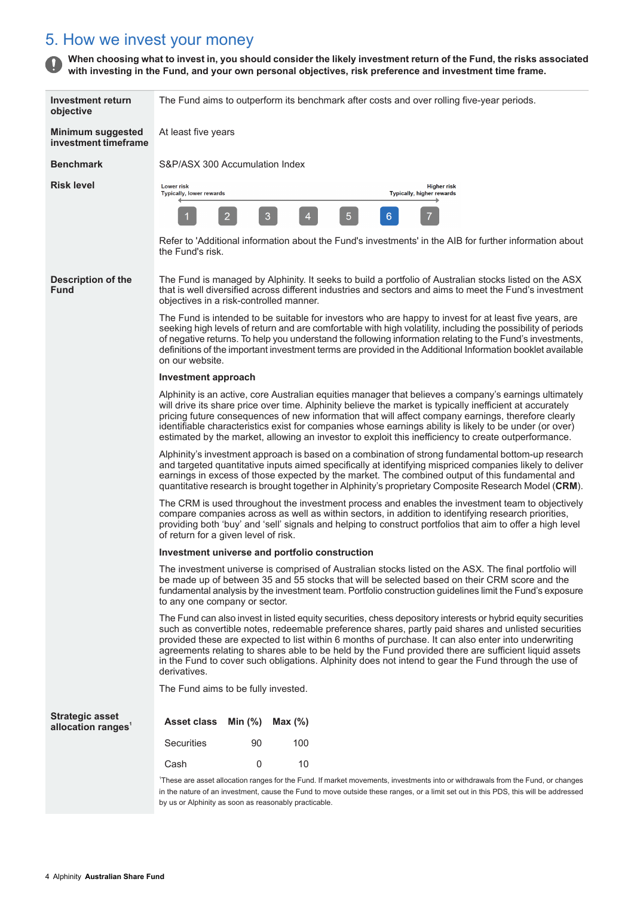# <span id="page-3-0"></span>5. How we invest your money

When choosing what to invest in, you should consider the likely investment return of the Fund, the risks associated **with investing in the Fund, and your own personal objectives, risk preference and investment time frame.**

| Investment return<br>objective                           | The Fund aims to outperform its benchmark after costs and over rolling five-year periods.                                                                                                                                                                                                                                                                                                                                                                                                                                                                    |  |  |  |  |
|----------------------------------------------------------|--------------------------------------------------------------------------------------------------------------------------------------------------------------------------------------------------------------------------------------------------------------------------------------------------------------------------------------------------------------------------------------------------------------------------------------------------------------------------------------------------------------------------------------------------------------|--|--|--|--|
| Minimum suggested<br>investment timeframe                | At least five years                                                                                                                                                                                                                                                                                                                                                                                                                                                                                                                                          |  |  |  |  |
| <b>Benchmark</b>                                         | S&P/ASX 300 Accumulation Index                                                                                                                                                                                                                                                                                                                                                                                                                                                                                                                               |  |  |  |  |
| <b>Risk level</b>                                        | Lower risk<br><b>Higher risk</b><br>Typically, higher rewards<br>Typically, lower rewards                                                                                                                                                                                                                                                                                                                                                                                                                                                                    |  |  |  |  |
|                                                          | 5<br>$\overline{2}$<br>3<br>6                                                                                                                                                                                                                                                                                                                                                                                                                                                                                                                                |  |  |  |  |
|                                                          | Refer to 'Additional information about the Fund's investments' in the AIB for further information about<br>the Fund's risk.                                                                                                                                                                                                                                                                                                                                                                                                                                  |  |  |  |  |
| <b>Description of the</b><br><b>Fund</b>                 | The Fund is managed by Alphinity. It seeks to build a portfolio of Australian stocks listed on the ASX<br>that is well diversified across different industries and sectors and aims to meet the Fund's investment<br>objectives in a risk-controlled manner.                                                                                                                                                                                                                                                                                                 |  |  |  |  |
|                                                          | The Fund is intended to be suitable for investors who are happy to invest for at least five years, are<br>seeking high levels of return and are comfortable with high volatility, including the possibility of periods<br>of negative returns. To help you understand the following information relating to the Fund's investments,<br>definitions of the important investment terms are provided in the Additional Information booklet available<br>on our website.                                                                                         |  |  |  |  |
|                                                          | <b>Investment approach</b>                                                                                                                                                                                                                                                                                                                                                                                                                                                                                                                                   |  |  |  |  |
|                                                          | Alphinity is an active, core Australian equities manager that believes a company's earnings ultimately<br>will drive its share price over time. Alphinity believe the market is typically inefficient at accurately<br>pricing future consequences of new information that will affect company earnings, therefore clearly<br>identifiable characteristics exist for companies whose earnings ability is likely to be under (or over)<br>estimated by the market, allowing an investor to exploit this inefficiency to create outperformance.                |  |  |  |  |
|                                                          | Alphinity's investment approach is based on a combination of strong fundamental bottom-up research<br>and targeted quantitative inputs aimed specifically at identifying mispriced companies likely to deliver<br>earnings in excess of those expected by the market. The combined output of this fundamental and<br>quantitative research is brought together in Alphinity's proprietary Composite Research Model (CRM).                                                                                                                                    |  |  |  |  |
|                                                          | The CRM is used throughout the investment process and enables the investment team to objectively<br>compare companies across as well as within sectors, in addition to identifying research priorities,<br>providing both 'buy' and 'sell' signals and helping to construct portfolios that aim to offer a high level<br>of return for a given level of risk.<br>Investment universe and portfolio construction                                                                                                                                              |  |  |  |  |
|                                                          |                                                                                                                                                                                                                                                                                                                                                                                                                                                                                                                                                              |  |  |  |  |
|                                                          | The investment universe is comprised of Australian stocks listed on the ASX. The final portfolio will<br>be made up of between 35 and 55 stocks that will be selected based on their CRM score and the<br>fundamental analysis by the investment team. Portfolio construction guidelines limit the Fund's exposure<br>to any one company or sector.                                                                                                                                                                                                          |  |  |  |  |
|                                                          | The Fund can also invest in listed equity securities, chess depository interests or hybrid equity securities<br>such as convertible notes, redeemable preference shares, partly paid shares and unlisted securities<br>provided these are expected to list within 6 months of purchase. It can also enter into underwriting<br>agreements relating to shares able to be held by the Fund provided there are sufficient liquid assets<br>in the Fund to cover such obligations. Alphinity does not intend to gear the Fund through the use of<br>derivatives. |  |  |  |  |
|                                                          | The Fund aims to be fully invested.                                                                                                                                                                                                                                                                                                                                                                                                                                                                                                                          |  |  |  |  |
| <b>Strategic asset</b><br>allocation ranges <sup>1</sup> | Asset class Min (%)<br>Max $(\%)$                                                                                                                                                                                                                                                                                                                                                                                                                                                                                                                            |  |  |  |  |
|                                                          | <b>Securities</b><br>100<br>90                                                                                                                                                                                                                                                                                                                                                                                                                                                                                                                               |  |  |  |  |
|                                                          | Cash<br>0<br>10                                                                                                                                                                                                                                                                                                                                                                                                                                                                                                                                              |  |  |  |  |
|                                                          | These are asset allocation ranges for the Fund. If market movements, investments into or withdrawals from the Fund, or changes<br>in the nature of an investment, cause the Fund to move outside these ranges, or a limit set out in this PDS, this will be addressed                                                                                                                                                                                                                                                                                        |  |  |  |  |

by us or Alphinity as soon as reasonably practicable.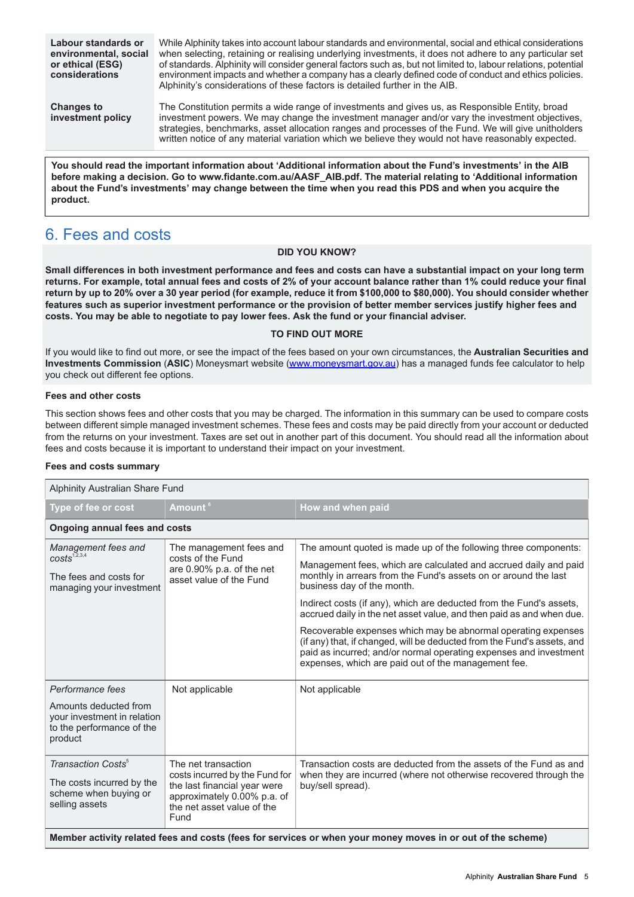**Labour standards or environmental, social or ethical (ESG) considerations**

While Alphinity takes into account labour standards and environmental, social and ethical considerations when selecting, retaining or realising underlying investments, it does not adhere to any particular set of standards. Alphinity will consider general factors such as, but not limited to, labour relations, potential environment impacts and whether a company has a clearly defined code of conduct and ethics policies. Alphinity's considerations of these factors is detailed further in the AIB.

**Changes to investment policy**

The Constitution permits a wide range of investments and gives us, as Responsible Entity, broad investment powers. We may change the investment manager and/or vary the investment objectives, strategies, benchmarks, asset allocation ranges and processes of the Fund. We will give unitholders written notice of any material variation which we believe they would not have reasonably expected.

**You should read the important information about 'Additional information about the Fund's investments' in the AIB before making a decision. Go to www.fidante.com.au/AASF\_AIB.pdf. The material relating to 'Additional information** about the Fund's investments' may change between the time when you read this PDS and when you acquire the **product.**

# <span id="page-4-0"></span>6. Fees and costs

#### **DID YOU KNOW?**

Small differences in both investment performance and fees and costs can have a substantial impact on your long term returns. For example, total annual fees and costs of 2% of your account balance rather than 1% could reduce your final return by up to 20% over a 30 year period (for example, reduce it from \$100,000 to \$80,000). You should consider whether features such as superior investment performance or the provision of better member services justify higher fees and **costs. You may be able to negotiate to pay lower fees. Ask the fund or your financial adviser.**

#### **TO FIND OUT MORE**

If you would like to find out more, or see the impact of the fees based on your own circumstances, the **Australian Securities and Investments Commission** (**ASIC**) Moneysmart website ([www.moneysmart.gov.au\)](http://www.moneysmart.gov.au) has a managed funds fee calculator to help you check out different fee options.

#### **Fees and other costs**

This section shows fees and other costs that you may be charged. The information in this summary can be used to compare costs between different simple managed investment schemes. These fees and costs may be paid directly from your account or deducted from the returns on your investment. Taxes are set out in another part of this document. You should read all the information about fees and costs because it is important to understand their impact on your investment.

#### **Fees and costs summary**

| Alphinity Australian Share Fund                                                                             |                                                                                                                                                            |                                                                                                                                                                                                                                                                      |                                                                                                                                                                   |  |
|-------------------------------------------------------------------------------------------------------------|------------------------------------------------------------------------------------------------------------------------------------------------------------|----------------------------------------------------------------------------------------------------------------------------------------------------------------------------------------------------------------------------------------------------------------------|-------------------------------------------------------------------------------------------------------------------------------------------------------------------|--|
| Type of fee or cost                                                                                         | Amount <sup>6</sup>                                                                                                                                        | How and when paid                                                                                                                                                                                                                                                    |                                                                                                                                                                   |  |
| <b>Ongoing annual fees and costs</b>                                                                        |                                                                                                                                                            |                                                                                                                                                                                                                                                                      |                                                                                                                                                                   |  |
| Management fees and<br>$costs^{1,2,3,4}$                                                                    | The management fees and<br>costs of the Fund<br>are 0.90% p.a. of the net<br>asset value of the Fund                                                       | The amount quoted is made up of the following three components:                                                                                                                                                                                                      |                                                                                                                                                                   |  |
| The fees and costs for<br>managing your investment                                                          |                                                                                                                                                            |                                                                                                                                                                                                                                                                      | Management fees, which are calculated and accrued daily and paid<br>monthly in arrears from the Fund's assets on or around the last<br>business day of the month. |  |
|                                                                                                             |                                                                                                                                                            | Indirect costs (if any), which are deducted from the Fund's assets,<br>accrued daily in the net asset value, and then paid as and when due.                                                                                                                          |                                                                                                                                                                   |  |
|                                                                                                             |                                                                                                                                                            | Recoverable expenses which may be abnormal operating expenses<br>(if any) that, if changed, will be deducted from the Fund's assets, and<br>paid as incurred; and/or normal operating expenses and investment<br>expenses, which are paid out of the management fee. |                                                                                                                                                                   |  |
| Performance fees                                                                                            | Not applicable                                                                                                                                             | Not applicable                                                                                                                                                                                                                                                       |                                                                                                                                                                   |  |
| Amounts deducted from<br>your investment in relation<br>to the performance of the<br>product                |                                                                                                                                                            |                                                                                                                                                                                                                                                                      |                                                                                                                                                                   |  |
| Transaction Costs <sup>5</sup><br>The costs incurred by the<br>scheme when buying or<br>selling assets      | The net transaction<br>costs incurred by the Fund for<br>the last financial year were<br>approximately 0.00% p.a. of<br>the net asset value of the<br>Fund | Transaction costs are deducted from the assets of the Fund as and<br>when they are incurred (where not otherwise recovered through the<br>buy/sell spread).                                                                                                          |                                                                                                                                                                   |  |
| Member activity related fees and costs (fees for services or when your money moves in or out of the scheme) |                                                                                                                                                            |                                                                                                                                                                                                                                                                      |                                                                                                                                                                   |  |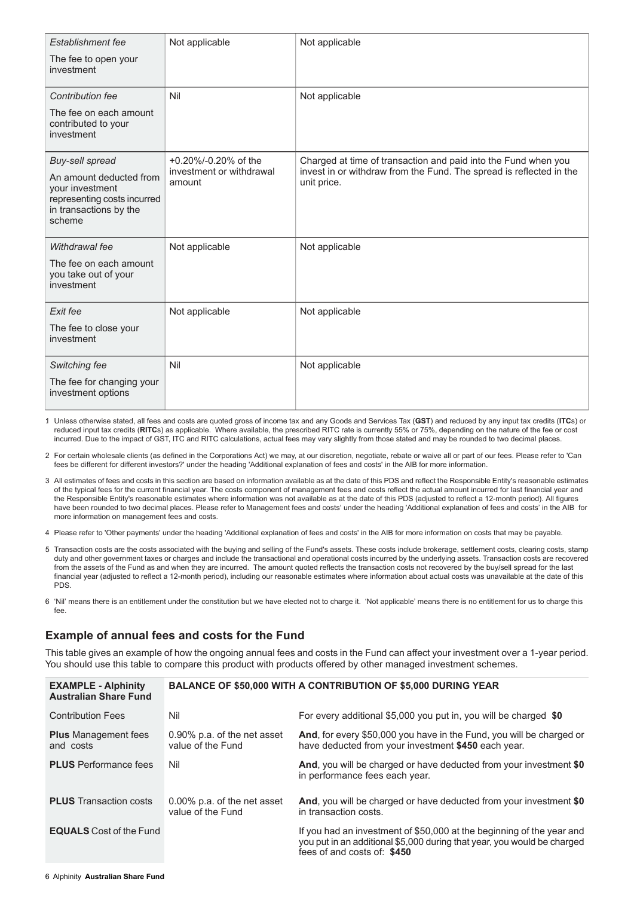| Establishment fee                                                                                             | Not applicable                                             | Not applicable                                                                                                                                       |
|---------------------------------------------------------------------------------------------------------------|------------------------------------------------------------|------------------------------------------------------------------------------------------------------------------------------------------------------|
| The fee to open your<br>investment                                                                            |                                                            |                                                                                                                                                      |
| Contribution fee                                                                                              | Nil                                                        | Not applicable                                                                                                                                       |
| The fee on each amount<br>contributed to your<br>investment                                                   |                                                            |                                                                                                                                                      |
| Buy-sell spread                                                                                               | +0.20%/-0.20% of the<br>investment or withdrawal<br>amount | Charged at time of transaction and paid into the Fund when you<br>invest in or withdraw from the Fund. The spread is reflected in the<br>unit price. |
| An amount deducted from<br>your investment<br>representing costs incurred<br>in transactions by the<br>scheme |                                                            |                                                                                                                                                      |
| Withdrawal fee                                                                                                | Not applicable                                             | Not applicable                                                                                                                                       |
| The fee on each amount<br>you take out of your<br>investment                                                  |                                                            |                                                                                                                                                      |
| Exit fee                                                                                                      | Not applicable                                             | Not applicable                                                                                                                                       |
| The fee to close your<br>investment                                                                           |                                                            |                                                                                                                                                      |
| Switching fee                                                                                                 | Nil                                                        | Not applicable                                                                                                                                       |
| The fee for changing your<br>investment options                                                               |                                                            |                                                                                                                                                      |

1. Unless otherwise stated, all fees and costs are quoted gross of income tax and any Goods and Services Tax (**GST**) and reduced by any input tax credits (**ITC**s) or reduced input tax credits (**RITC**s) as applicable. Where available, the prescribed RITC rate is currently 55% or 75%, depending on the nature of the fee or cost incurred. Due to the impact of GST, ITC and RITC calculations, actual fees may vary slightly from those stated and may be rounded to two decimal places.

- 2. For certain wholesale clients (as defined in the Corporations Act) we may, at our discretion, negotiate, rebate or waive all or part of our fees. Please refer to 'Can fees be different for different investors?' under the heading 'Additional explanation of fees and costs' in the AIB for more information.
- 3. All estimates of fees and costs in this section are based on information available as at the date of this PDS and reflect the Responsible Entity's reasonable estimates of the typical fees for the current financial year. The costs component of management fees and costs reflect the actual amount incurred for last financial year and the Responsible Entity's reasonable estimates where information was not available as at the date of this PDS (adjusted to reflect a 12-month period). All figures have been rounded to two decimal places. Please refer to Management fees and costs' under the heading 'Additional explanation of fees and costs' in the AIB for more information on management fees and costs.
- 4. Please refer to 'Other payments' under the heading 'Additional explanation of fees and costs' in the AIB for more information on costs that may be payable.
- 5. Transaction costs are the costs associated with the buying and selling of the Fund's assets. These costs include brokerage, settlement costs, clearing costs, stamp duty and other government taxes or charges and include the transactional and operational costs incurred by the underlying assets. Transaction costs are recovered from the assets of the Fund as and when they are incurred. The amount quoted reflects the transaction costs not recovered by the buy/sell spread for the last financial year (adjusted to reflect a 12-month period), including our reasonable estimates where information about actual costs was unavailable at the date of this PDS.
- 6. 'Nil' means there is an entitlement under the constitution but we have elected not to charge it. 'Not applicable' means there is no entitlement for us to charge this fee.

#### **Example of annual fees and costs for the Fund**

This table gives an example of how the ongoing annual fees and costs in the Fund can affect your investment over a 1-year period. You should use this table to compare this product with products offered by other managed investment schemes.

|                                                  | <b>BALANCE OF \$50,000 WITH A CONTRIBUTION OF \$5,000 DURING YEAR</b>                                                                                                           |
|--------------------------------------------------|---------------------------------------------------------------------------------------------------------------------------------------------------------------------------------|
| Nil                                              | For every additional \$5,000 you put in, you will be charged \$0                                                                                                                |
| 0.90% p.a. of the net asset<br>value of the Fund | And, for every \$50,000 you have in the Fund, you will be charged or<br>have deducted from your investment \$450 each year.                                                     |
| Nil                                              | And, you will be charged or have deducted from your investment \$0<br>in performance fees each year.                                                                            |
| 0.00% p.a. of the net asset<br>value of the Fund | And, you will be charged or have deducted from your investment \$0<br>in transaction costs.                                                                                     |
|                                                  | If you had an investment of \$50,000 at the beginning of the year and<br>you put in an additional \$5,000 during that year, you would be charged<br>fees of and costs of: \$450 |
|                                                  |                                                                                                                                                                                 |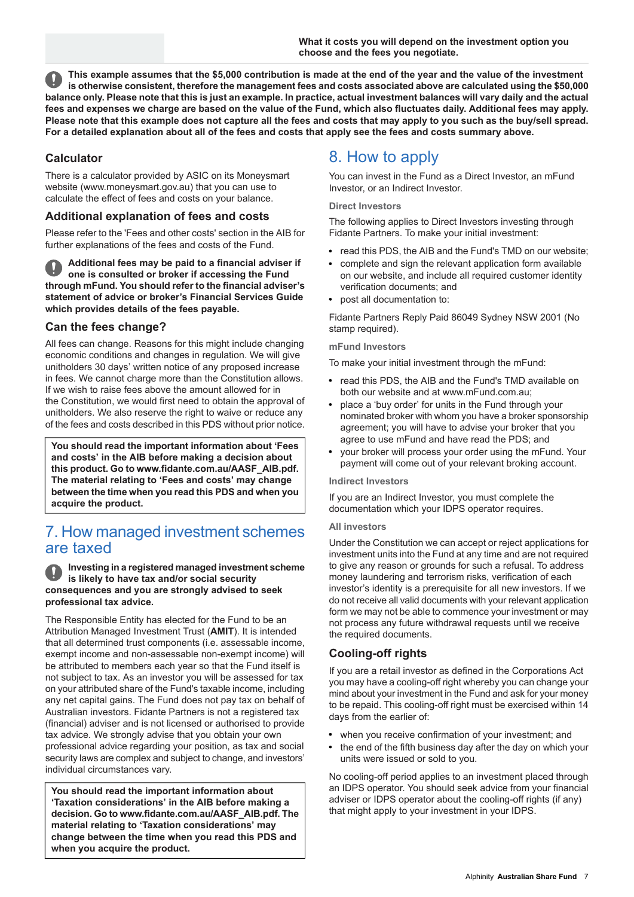This example assumes that the \$5,000 contribution is made at the end of the year and the value of the investment is otherwise consistent, therefore the management fees and costs associated above are calculated using the \$50,000 balance only. Please note that this is just an example. In practice, actual investment balances will vary daily and the actual fees and expenses we charge are based on the value of the Fund, which also fluctuates daily. Additional fees may apply. Please note that this example does not capture all the fees and costs that may apply to you such as the buy/sell spread. For a detailed explanation about all of the fees and costs that apply see the fees and costs summary above.

### **Calculator**

There is a calculator provided by ASIC on its Moneysmart website (www.moneysmart.gov.au) that you can use to calculate the effect of fees and costs on your balance.

#### **Additional explanation of fees and costs**

Please refer to the 'Fees and other costs' section in the AIB for further explanations of the fees and costs of the Fund.

**Additional fees may be paid to a financial adviser if one is consulted or broker if accessing the Fund through mFund. You should refer to the financial adviser's statement of advice or broker's Financial Services Guide which provides details of the fees payable.**

#### **Can the fees change?**

All fees can change. Reasons for this might include changing economic conditions and changes in regulation. We will give unitholders 30 days' written notice of any proposed increase in fees. We cannot charge more than the Constitution allows. If we wish to raise fees above the amount allowed for in the Constitution, we would first need to obtain the approval of unitholders. We also reserve the right to waive or reduce any of the fees and costs described in this PDS without prior notice.

<span id="page-6-0"></span>**You should read the important information about 'Fees and costs' in the AIB before making a decision about this product. Go to www.fidante.com.au/AASF\_AIB.pdf. The material relating to 'Fees and costs' may change between the time when you read this PDS and when you acquire the product.**

### 7. How managed investment schemes are taxed

#### **Investing in a registered managed investment scheme is likely to have tax and/or social security consequences and you are strongly advised to seek professional tax advice.**

The Responsible Entity has elected for the Fund to be an Attribution Managed Investment Trust (**AMIT**). It is intended that all determined trust components (i.e. assessable income, exempt income and non-assessable non-exempt income) will be attributed to members each year so that the Fund itself is not subject to tax. As an investor you will be assessed for tax on your attributed share of the Fund's taxable income, including any net capital gains. The Fund does not pay tax on behalf of Australian investors. Fidante Partners is not a registered tax (financial) adviser and is not licensed or authorised to provide tax advice. We strongly advise that you obtain your own professional advice regarding your position, as tax and social security laws are complex and subject to change, and investors' individual circumstances vary.

**You should read the important information about 'Taxation considerations' in the AIB before making a decision. Go to www.fidante.com.au/AASF\_AIB.pdf. The material relating to 'Taxation considerations' may change between the time when you read this PDS and when you acquire the product.**

# <span id="page-6-1"></span>8. How to apply

You can invest in the Fund as a Direct Investor, an mFund Investor, or an Indirect Investor.

#### **Direct Investors**

The following applies to Direct Investors investing through Fidante Partners. To make your initial investment:

- read this PDS, the AIB and the Fund's TMD on our website;
- complete and sign the relevant application form available on our website, and include all required customer identity verification documents; and
- post all documentation to:

Fidante Partners Reply Paid 86049 Sydney NSW 2001 (No stamp required).

#### **mFund Investors**

To make your initial investment through the mFund:

- read this PDS, the AIB and the Fund's TMD available on both our website and at www.mFund.com.au;
- place a 'buy order' for units in the Fund through your nominated broker with whom you have a broker sponsorship agreement; you will have to advise your broker that you agree to use mFund and have read the PDS; and
- your broker will process your order using the mFund. Your payment will come out of your relevant broking account.

#### **Indirect Investors**

If you are an Indirect Investor, you must complete the documentation which your IDPS operator requires.

#### **All investors**

Under the Constitution we can accept or reject applications for investment units into the Fund at any time and are not required to give any reason or grounds for such a refusal. To address money laundering and terrorism risks, verification of each investor's identity is a prerequisite for all new investors. If we do not receive all valid documents with your relevant application form we may not be able to commence your investment or may not process any future withdrawal requests until we receive the required documents.

#### **Cooling-off rights**

If you are a retail investor as defined in the Corporations Act you may have a cooling-off right whereby you can change your mind about your investment in the Fund and ask for your money to be repaid. This cooling-off right must be exercised within 14 days from the earlier of:

- when you receive confirmation of your investment; and
- the end of the fifth business day after the day on which your units were issued or sold to you.

No cooling-off period applies to an investment placed through an IDPS operator. You should seek advice from your financial adviser or IDPS operator about the cooling-off rights (if any) that might apply to your investment in your IDPS.